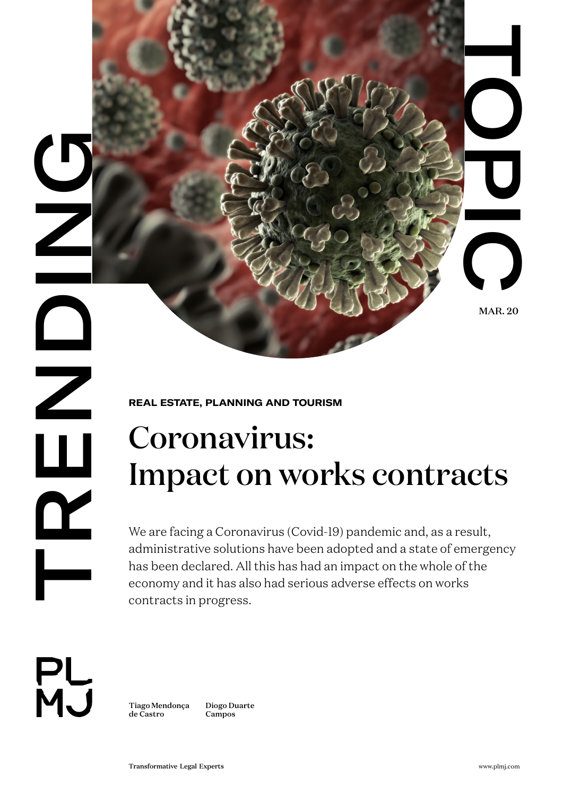

**REAL ESTATE, PLANNING AND TOURISM** 

# Coronavirus: Impact on works contracts

TRANSFORMATION<br>
TRANSFORMATION<br>
TRANSFORMATION<br>
CONTROL CONTROLLER<br>
CONTROLLER<br>
CONTROLLER<br>
CONTROLLER<br>
UNITED STATE PLANNING AND TOURISM<br>
CONTROLLER<br>
UNITED STATE PLANNING AND TOURISM<br>
CONTROLLER<br>
UNITED STATE PLANNING AN We are facing a Coronavirus (Covid-19) pandemic and, as a result, administrative solutions have been adopted and a state of emergency has been declared. All this has had an impact on the whole of the economy and it has also had serious adverse effects on works contracts in progress.



[Tiago Mendonça](https://www.plmj.com/en/people/partners/Tiago-Mendonca-de-Castro/130/) [de Castro](https://www.plmj.com/en/people/partners/Tiago-Mendonca-de-Castro/130/) [Campos](https://www.plmj.com/en/people/partners/Diogo-Duarte-Campos/206/)

[Diogo Duarte](https://www.plmj.com/en/people/partners/Diogo-Duarte-Campos/206/)

MAR. 20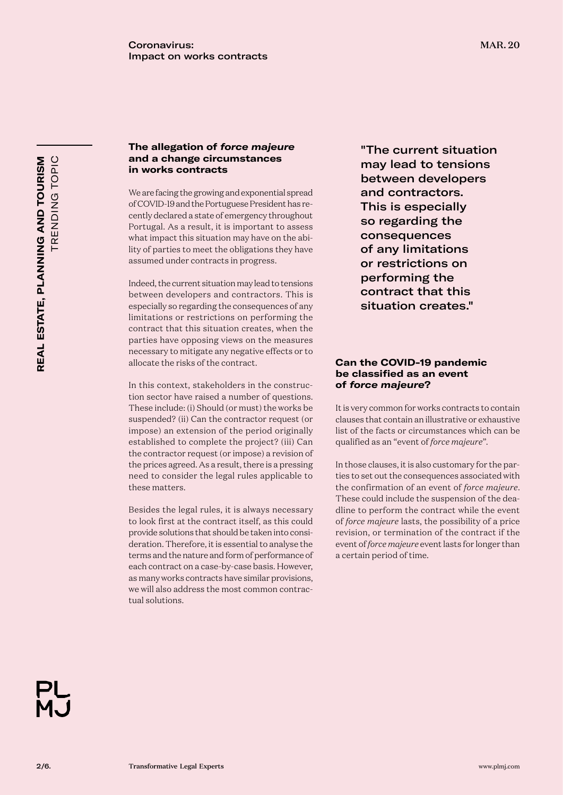### **The allegation of** *force majeure* **and a change circumstances in works contracts**

We are facing the growing and exponential spread of COVID-19 and the Portuguese President has recently declared a state of emergency throughout Portugal. As a result, it is important to assess what impact this situation may have on the ability of parties to meet the obligations they have assumed under contracts in progress.

Indeed, the current situation may lead to tensions between developers and contractors. This is especially so regarding the consequences of any limitations or restrictions on performing the contract that this situation creates, when the parties have opposing views on the measures necessary to mitigate any negative effects or to allocate the risks of the contract.

In this context, stakeholders in the construction sector have raised a number of questions. These include: (i) Should (or must) the works be suspended? (ii) Can the contractor request (or impose) an extension of the period originally established to complete the project? (iii) Can the contractor request (or impose) a revision of the prices agreed. As a result, there is a pressing need to consider the legal rules applicable to these matters.

Besides the legal rules, it is always necessary to look first at the contract itself, as this could provide solutions that should be taken into consideration. Therefore, it is essential to analyse the terms and the nature and form of performance of each contract on a case-by-case basis. However, as many works contracts have similar provisions, we will also address the most common contractual solutions.

"The current situation may lead to tensions between developers and contractors. This is especially so regarding the consequences of any limitations or restrictions on performing the contract that this situation creates."

# **Can the COVID-19 pandemic be classified as an event of** *force majeure***?**

It is very common for works contracts to contain clauses that contain an illustrative or exhaustive list of the facts or circumstances which can be qualified as an "event of *force majeure*".

In those clauses, it is also customary for the parties to set out the consequences associated with the confirmation of an event of *force majeure*. These could include the suspension of the deadline to perform the contract while the event of *force majeure* lasts, the possibility of a price revision, or termination of the contract if the event of *force majeure* event lasts for longer than a certain period of time.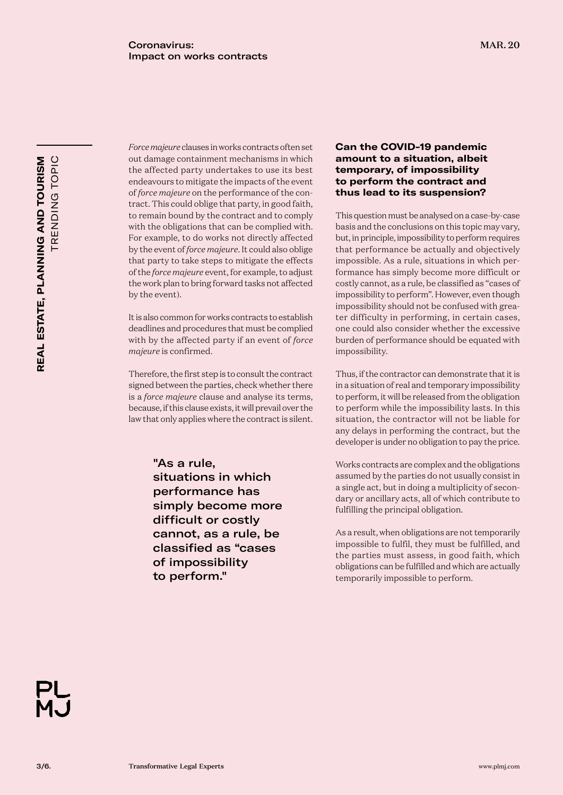*Force majeure* clauses in works contracts often set out damage containment mechanisms in which the affected party undertakes to use its best endeavours to mitigate the impacts of the event of *force majeure* on the performance of the contract. This could oblige that party, in good faith, to remain bound by the contract and to comply with the obligations that can be complied with. For example, to do works not directly affected by the event of *force majeure*. It could also oblige that party to take steps to mitigate the effects of the *force majeure* event, for example, to adjust the work plan to bring forward tasks not affected by the event).

It is also common for works contracts to establish deadlines and procedures that must be complied with by the affected party if an event of *force majeure* is confirmed.

Therefore, the first step is to consult the contract signed between the parties, check whether there is a *force majeure* clause and analyse its terms, because, if this clause exists, it will prevail over the law that only applies where the contract is silent.

> "As a rule, situations in which performance has simply become more difficult or costly cannot, as a rule, be classified as "cases of impossibility to perform."

### **Can the COVID-19 pandemic amount to a situation, albeit temporary, of impossibility to perform the contract and thus lead to its suspension?**

This question must be analysed on a case-by-case basis and the conclusions on this topic may vary, but, in principle, impossibility to perform requires that performance be actually and objectively impossible. As a rule, situations in which performance has simply become more difficult or costly cannot, as a rule, be classified as "cases of impossibility to perform". However, even though impossibility should not be confused with greater difficulty in performing, in certain cases, one could also consider whether the excessive burden of performance should be equated with impossibility.

Thus, if the contractor can demonstrate that it is in a situation of real and temporary impossibility to perform, it will be released from the obligation to perform while the impossibility lasts. In this situation, the contractor will not be liable for any delays in performing the contract, but the developer is under no obligation to pay the price.

Works contracts are complex and the obligations assumed by the parties do not usually consist in a single act, but in doing a multiplicity of secondary or ancillary acts, all of which contribute to fulfilling the principal obligation.

As a result, when obligations are not temporarily impossible to fulfil, they must be fulfilled, and the parties must assess, in good faith, which obligations can be fulfilled and which are actually temporarily impossible to perform.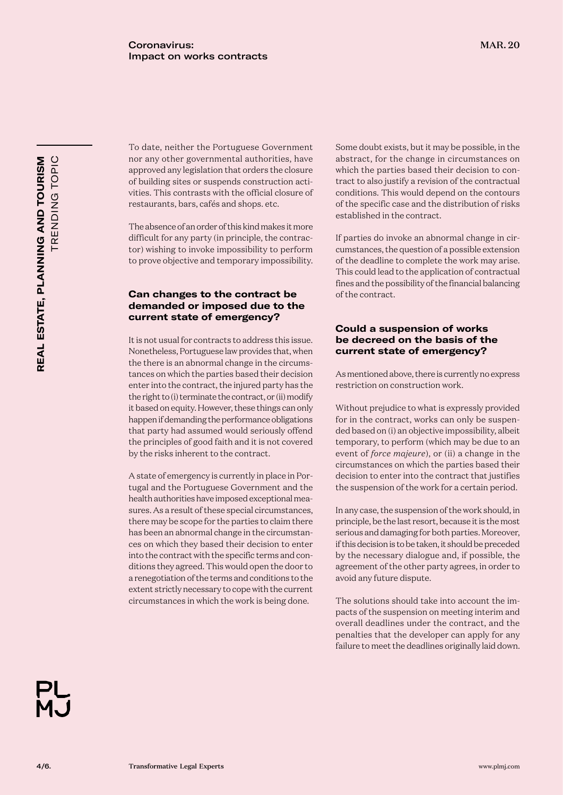To date, neither the Portuguese Government nor any other governmental authorities, have approved any legislation that orders the closure of building sites or suspends construction activities. This contrasts with the official closure of restaurants, bars, cafés and shops. etc.

The absence of an order of this kind makes it more difficult for any party (in principle, the contractor) wishing to invoke impossibility to perform to prove objective and temporary impossibility.

# **Can changes to the contract be demanded or imposed due to the current state of emergency?**

It is not usual for contracts to address this issue. Nonetheless, Portuguese law provides that, when the there is an abnormal change in the circumstances on which the parties based their decision enter into the contract, the injured party has the the right to (i) terminate the contract, or (ii) modify it based on equity. However, these things can only happen if demanding the performance obligations that party had assumed would seriously offend the principles of good faith and it is not covered by the risks inherent to the contract.

A state of emergency is currently in place in Portugal and the Portuguese Government and the health authorities have imposed exceptional measures. As a result of these special circumstances, there may be scope for the parties to claim there has been an abnormal change in the circumstances on which they based their decision to enter into the contract with the specific terms and conditions they agreed. This would open the door to a renegotiation of the terms and conditions to the extent strictly necessary to cope with the current circumstances in which the work is being done.

Some doubt exists, but it may be possible, in the abstract, for the change in circumstances on which the parties based their decision to contract to also justify a revision of the contractual conditions. This would depend on the contours of the specific case and the distribution of risks established in the contract.

If parties do invoke an abnormal change in circumstances, the question of a possible extension of the deadline to complete the work may arise. This could lead to the application of contractual fines and the possibility of the financial balancing of the contract.

# **Could a suspension of works be decreed on the basis of the current state of emergency?**

As mentioned above, there is currently no express restriction on construction work.

Without prejudice to what is expressly provided for in the contract, works can only be suspended based on (i) an objective impossibility, albeit temporary, to perform (which may be due to an event of *force majeure*), or (ii) a change in the circumstances on which the parties based their decision to enter into the contract that justifies the suspension of the work for a certain period.

In any case, the suspension of the work should, in principle, be the last resort, because it is the most serious and damaging for both parties. Moreover, if this decision is to be taken, it should be preceded by the necessary dialogue and, if possible, the agreement of the other party agrees, in order to avoid any future dispute.

The solutions should take into account the impacts of the suspension on meeting interim and overall deadlines under the contract, and the penalties that the developer can apply for any failure to meet the deadlines originally laid down.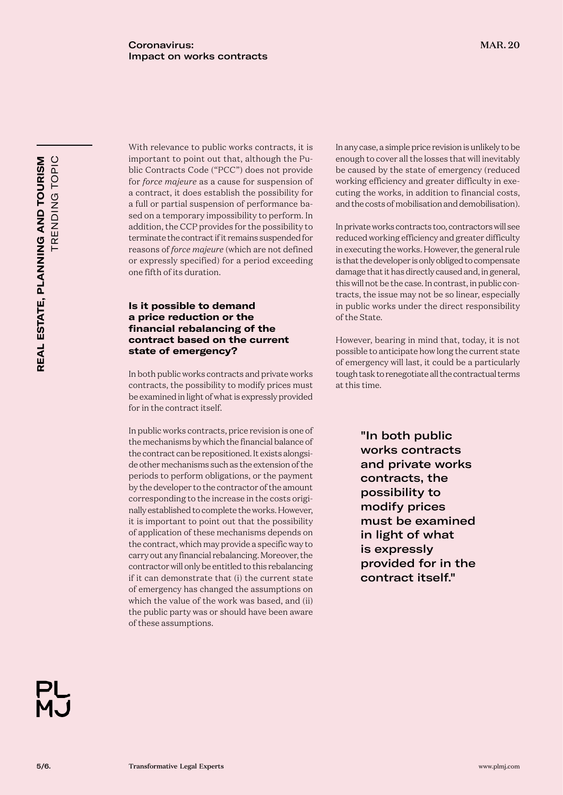With relevance to public works contracts, it is important to point out that, although the Public Contracts Code ("PCC") does not provide for *force majeure* as a cause for suspension of a contract, it does establish the possibility for a full or partial suspension of performance based on a temporary impossibility to perform. In addition, the CCP provides for the possibility to terminate the contract if it remains suspended for reasons of *force majeure* (which are not defined or expressly specified) for a period exceeding one fifth of its duration.

# **Is it possible to demand a price reduction or the financial rebalancing of the contract based on the current state of emergency?**

In both public works contracts and private works contracts, the possibility to modify prices must be examined in light of what is expressly provided for in the contract itself.

In public works contracts, price revision is one of the mechanisms by which the financial balance of the contract can be repositioned. It exists alongside other mechanisms such as the extension of the periods to perform obligations, or the payment by the developer to the contractor of the amount corresponding to the increase in the costs originally established to complete the works. However, it is important to point out that the possibility of application of these mechanisms depends on the contract, which may provide a specific way to carry out any financial rebalancing. Moreover, the contractor will only be entitled to this rebalancing if it can demonstrate that (i) the current state of emergency has changed the assumptions on which the value of the work was based, and (ii) the public party was or should have been aware of these assumptions.

In any case, a simple price revision is unlikely to be enough to cover all the losses that will inevitably be caused by the state of emergency (reduced working efficiency and greater difficulty in executing the works, in addition to financial costs, and the costs of mobilisation and demobilisation).

In private works contracts too, contractors will see reduced working efficiency and greater difficulty in executing the works. However, the general rule is that the developer is only obliged to compensate damage that it has directly caused and, in general, this will not be the case. In contrast, in public contracts, the issue may not be so linear, especially in public works under the direct responsibility of the State.

However, bearing in mind that, today, it is not possible to anticipate how long the current state of emergency will last, it could be a particularly tough task to renegotiate all the contractual terms at this time.

> "In both public works contracts and private works contracts, the possibility to modify prices must be examined in light of what is expressly provided for in the contract itself."